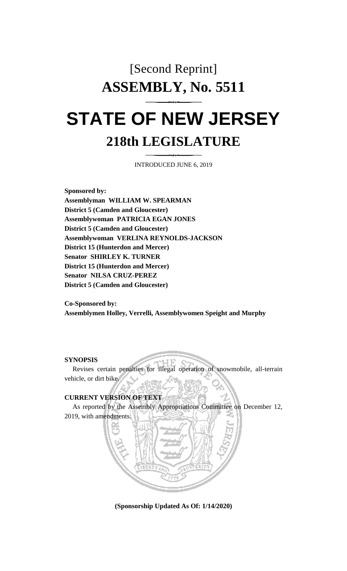# [Second Reprint] **ASSEMBLY, No. 5511 STATE OF NEW JERSEY 218th LEGISLATURE**

INTRODUCED JUNE 6, 2019

**Sponsored by: Assemblyman WILLIAM W. SPEARMAN District 5 (Camden and Gloucester) Assemblywoman PATRICIA EGAN JONES District 5 (Camden and Gloucester) Assemblywoman VERLINA REYNOLDS-JACKSON District 15 (Hunterdon and Mercer) Senator SHIRLEY K. TURNER District 15 (Hunterdon and Mercer) Senator NILSA CRUZ-PEREZ District 5 (Camden and Gloucester)**

**Co-Sponsored by: Assemblymen Holley, Verrelli, Assemblywomen Speight and Murphy**

### **SYNOPSIS**

Revises certain penalties for illegal operation of snowmobile, all-terrain vehicle, or dirt bike.

## **CURRENT VERSION OF TEXT**

As reported by the Assembly Appropriations Committee on December 12, 2019, with amendments.

**(Sponsorship Updated As Of: 1/14/2020)**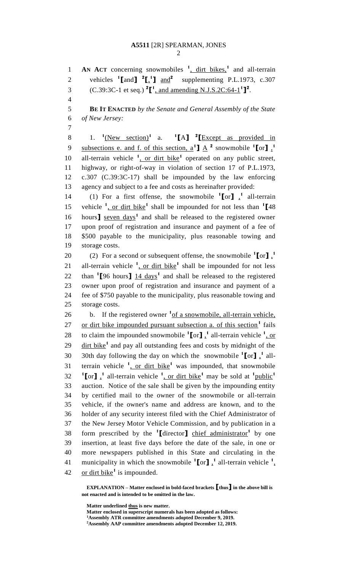## **A5511** [2R] SPEARMAN, JONES

2

**AN ACT** concerning snowmobiles **<sup>1</sup>** , dirt bikes,**<sup>1</sup>** 1 and all-terrain

2 vehicles  ${}^{1}$ [and]  ${}^{2}$ [ $\cdot$ <sup>1</sup>] and<sup>2</sup> supplementing P.L.1973, c.307 (C.39:3C-1 et seq.) **<sup>2</sup> [ 1** , and amending N.J.S.2C:64-1 **1 ] 2** 3 . 4 5 **BE IT ENACTED** *by the Senate and General Assembly of the State*  6 *of New Jersey:* 7 1.  ${}^{1}$ (New section)<sup>1</sup> a. <sup>1</sup> 8 1.  ${}^{1}$ (New section)<sup>1</sup> a.  ${}^{1}$ [A]  ${}^{2}$ [Except as provided in subsections e. and f. of this section,  $a^1$ **]**  $\underline{A}^2$  snowmobile  $^1$ [or]  $\frac{1}{2}$ 9 10 all-terrain vehicle <sup>1</sup>, or dirt bike<sup>1</sup> operated on any public street, 11 highway, or right-of-way in violation of section 17 of P.L.1973, 12 c.307 (C.39:3C-17) shall be impounded by the law enforcing 13 agency and subject to a fee and costs as hereinafter provided: 14 (1) For a first offense, the snowmobile  $\binom{1}{0}$   $\binom{1}{1}$  all-terrain 15 vehicle <sup>1</sup>, or dirt bike<sup>1</sup> shall be impounded for not less than <sup>1</sup>[48] 16 hours<sup>1</sup> seven days<sup>1</sup> and shall be released to the registered owner 17 upon proof of registration and insurance and payment of a fee of 18 \$500 payable to the municipality, plus reasonable towing and 19 storage costs. (2) For a second or subsequent offense, the snowmobile  $\binom{1}{0}$ , 20 21 all-terrain vehicle  $\frac{1}{2}$ , or dirt bike<sup>1</sup> shall be impounded for not less 22 than  $\binom{1}{2}$  fours  $\frac{14 \text{ days}}{14}$  and shall be released to the registered 23 owner upon proof of registration and insurance and payment of a 24 fee of \$750 payable to the municipality, plus reasonable towing and 25 storage costs. 26 b. If the registered owner <sup>1</sup> of a snowmobile, all-terrain vehicle, 27 or dirt bike impounded pursuant subsection a. of this section<sup>1</sup> fails 28 to claim the impounded snowmobile  $\binom{1}{0}$ , all-terrain vehicle  $\binom{1}{0}$ , or 29 dirt bike<sup>1</sup> and pay all outstanding fees and costs by midnight of the 30 30th day following the day on which the snowmobile  $\textbf{1}$  [or]  $\textbf{1}$  allterrain vehicle **<sup>1</sup>** , or dirt bike**<sup>1</sup>** 31 was impounded, that snowmobile **<sup>1</sup> [**or<sup>**]**</sup>, <sup>1</sup> all-terrain vehicle <sup>1</sup>, or dirt bike<sup>1</sup> may be sold at <sup>1</sup> public<sup>1</sup> 32 33 auction. Notice of the sale shall be given by the impounding entity 34 by certified mail to the owner of the snowmobile or all-terrain 35 vehicle, if the owner's name and address are known, and to the 36 holder of any security interest filed with the Chief Administrator of 37 the New Jersey Motor Vehicle Commission, and by publication in a form prescribed by the **<sup>1</sup> [**director**]** chief administrator**<sup>1</sup>** 38 by one 39 insertion, at least five days before the date of the sale, in one or 40 more newspapers published in this State and circulating in the 41 municipality in which the snowmobile  ${}^{1}$ [or]  $\frac{1}{2}$  all-terrain vehicle  ${}^{1}$ . 42 or dirt bike<sup>1</sup> is impounded.

**EXPLANATION – Matter enclosed in bold-faced brackets [thus] in the above bill is not enacted and is intended to be omitted in the law.**

**Matter underlined thus is new matter.**

**Matter enclosed in superscript numerals has been adopted as follows: <sup>1</sup>Assembly ATR committee amendments adopted December 9, 2019. <sup>2</sup>Assembly AAP committee amendments adopted December 12, 2019.**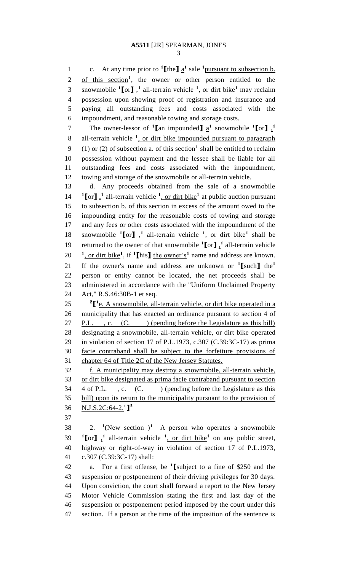1 c. At any time prior to  $\text{1}[{\text{the}}]$   $\frac{1}{2}$  sale  $\text{1}$  pursuant to subsection b. 2 of this section<sup>1</sup>, the owner or other person entitled to the 3 snowmobile  ${}^{1}$ [or]  $\frac{1}{2}$  all-terrain vehicle  ${}^{1}$ , or dirt bike<sup>1</sup> may reclaim possession upon showing proof of registration and insurance and paying all outstanding fees and costs associated with the impoundment, and reasonable towing and storage costs. The owner-lessor of  $\binom{1}{k}$  and impounded  $\frac{1}{k}$  a<sup>1</sup> snowmobile  $\binom{1}{k}$  or  $\frac{1}{k}$  8 all-terrain vehicle <sup>1</sup>, or dirt bike impounded pursuant to paragraph  $(1)$  or (2) of subsection a. of this section<sup>1</sup> shall be entitled to reclaim possession without payment and the lessee shall be liable for all outstanding fees and costs associated with the impoundment, towing and storage of the snowmobile or all-terrain vehicle. d. Any proceeds obtained from the sale of a snowmobile  ${}^{1}$ **[**or**]**,<sup>1</sup> all-terrain vehicle <sup>1</sup>, or dirt bike<sup>1</sup> at public auction pursuant to subsection b. of this section in excess of the amount owed to the impounding entity for the reasonable costs of towing and storage and any fees or other costs associated with the impoundment of the 18 snowmobile  ${}^{1}$ [or]  $\frac{1}{2}$  all-terrain vehicle  ${}^{1}$ , or dirt bike<sup>1</sup> shall be 19 returned to the owner of that snowmobile  $\binom{1}{0}$  all-terrain vehicle  $\frac{1}{2}$ , or dirt bike<sup>1</sup>, if <sup>1</sup>[his] the owner's<sup>1</sup> name and address are known. If the owner's name and address are unknown or **<sup>1</sup> [**such**]** the**<sup>1</sup>** person or entity cannot be located, the net proceeds shall be administered in accordance with the "Uniform Unclaimed Property Act," R.S.46:30B-1 et seq.  $\int_{0}^{2\pi} \left| \frac{e}{e} \right| A$  snowmobile, all-terrain vehicle, or dirt bike operated in a 26 municipality that has enacted an ordinance pursuant to section 4 of 27 P.L., c. (C.) (pending before the Legislature as this bill) designating a snowmobile, all-terrain vehicle, or dirt bike operated in violation of section 17 of P.L.1973, c.307 (C.39:3C-17) as prima facie contraband shall be subject to the forfeiture provisions of chapter 64 of Title 2C of the New Jersey Statutes. f. A municipality may destroy a snowmobile, all-terrain vehicle, or dirt bike designated as prima facie contraband pursuant to section 34 <u>4 of P.L.</u>, c. (C. ) (pending before the Legislature as this bill) upon its return to the municipality pursuant to the provision of N.J.S.2C:64-2.**<sup>1</sup> ] 2** 2. **<sup>1</sup>**  $\cdot$  2. <sup>1</sup>(New section )<sup>1</sup> A person who operates a snowmobile  $1^{\circ}$  **[**or**]**  $\frac{1}{\cdot}$  all-terrain vehicle  $\frac{1}{\cdot}$  or dirt bike<sup>1</sup> on any public street, highway or right-of-way in violation of section 17 of P.L.1973, c.307 (C.39:3C-17) shall: a. For a first offense, be **<sup>1</sup> [**subject to a fine of \$250 and the suspension or postponement of their driving privileges for 30 days. Upon conviction, the court shall forward a report to the New Jersey Motor Vehicle Commission stating the first and last day of the suspension or postponement period imposed by the court under this section. If a person at the time of the imposition of the sentence is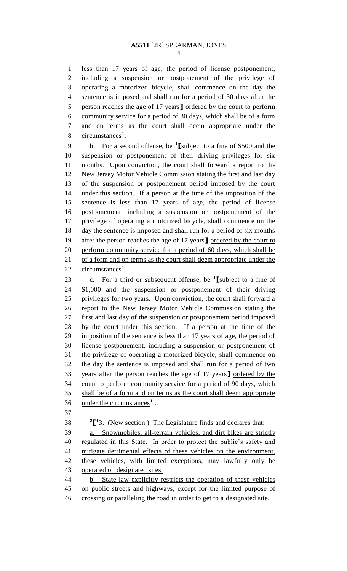## **A5511** [2R] SPEARMAN, JONES

 less than 17 years of age, the period of license postponement, including a suspension or postponement of the privilege of operating a motorized bicycle, shall commence on the day the sentence is imposed and shall run for a period of 30 days after the person reaches the age of 17 years**]** ordered by the court to perform community service for a period of 30 days, which shall be of a form and on terms as the court shall deem appropriate under the 8 circumstances<sup>1</sup>.

b. For a second offense, be **<sup>1</sup> [**subject to a fine of \$500 and the suspension or postponement of their driving privileges for six months. Upon conviction, the court shall forward a report to the New Jersey Motor Vehicle Commission stating the first and last day of the suspension or postponement period imposed by the court under this section. If a person at the time of the imposition of the sentence is less than 17 years of age, the period of license postponement, including a suspension or postponement of the privilege of operating a motorized bicycle, shall commence on the day the sentence is imposed and shall run for a period of six months after the person reaches the age of 17 years**]** ordered by the court to perform community service for a period of 60 days, which shall be 21 of a form and on terms as the court shall deem appropriate under the 22 circumstances<sup>1</sup>.

c. For a third or subsequent offense, be **<sup>1</sup> [**subject to a fine of \$1,000 and the suspension or postponement of their driving privileges for two years. Upon conviction, the court shall forward a report to the New Jersey Motor Vehicle Commission stating the first and last day of the suspension or postponement period imposed by the court under this section. If a person at the time of the imposition of the sentence is less than 17 years of age, the period of license postponement, including a suspension or postponement of the privilege of operating a motorized bicycle, shall commence on the day the sentence is imposed and shall run for a period of two years after the person reaches the age of 17 years**]** ordered by the court to perform community service for a period of 90 days, which shall be of a form and on terms as the court shall deem appropriate 36 under the circumstances<sup>1</sup>.

**2<sup>1</sup>** 1<sup>2</sup> **1** 3. (New section ) The Legislature finds and declares that:

 a. Snowmobiles, all-terrain vehicles, and dirt bikes are strictly 40 regulated in this State. In order to protect the public's safety and mitigate detrimental effects of these vehicles on the environment, 42 these vehicles, with limited exceptions, may lawfully only be operated on designated sites.

 b. State law explicitly restricts the operation of these vehicles on public streets and highways, except for the limited purpose of crossing or paralleling the road in order to get to a designated site.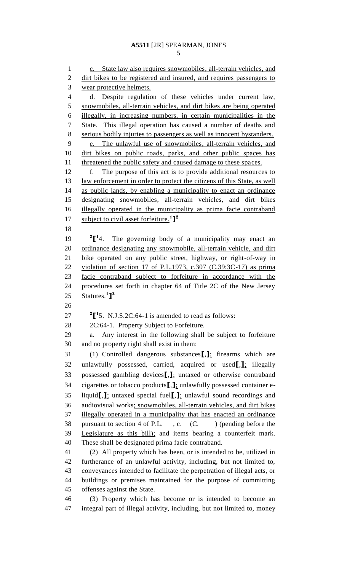```
5
```
1 c. State law also requires snowmobiles, all-terrain vehicles, and 2 dirt bikes to be registered and insured, and requires passengers to wear protective helmets. d. Despite regulation of these vehicles under current law, snowmobiles, all-terrain vehicles, and dirt bikes are being operated illegally, in increasing numbers, in certain municipalities in the State. This illegal operation has caused a number of deaths and serious bodily injuries to passengers as well as innocent bystanders. e. The unlawful use of snowmobiles, all-terrain vehicles, and dirt bikes on public roads, parks, and other public spaces has 11 threatened the public safety and caused damage to these spaces. 12 f. The purpose of this act is to provide additional resources to 13 law enforcement in order to protect the citizens of this State, as well 14 as public lands, by enabling a municipality to enact an ordinance designating snowmobiles, all-terrain vehicles, and dirt bikes illegally operated in the municipality as prima facie contraband subject to civil asset forfeiture.**<sup>1</sup> ] 2**  ${}^{2}$  $[$ <sup>1</sup> $\frac{4}{1}$ . The governing body of a municipality may enact an 20 ordinance designating any snowmobile, all-terrain vehicle, and dirt bike operated on any public street, highway, or right-of-way in violation of section 17 of P.L.1973, c.307 (C.39:3C-17) as prima facie contraband subject to forfeiture in accordance with the procedures set forth in chapter 64 of Title 2C of the New Jersey Statutes.**<sup>1</sup> ] 2**  $\cdot$  <sup>2</sup>[<sup>1</sup>5. N.J.S.2C:64-1 is amended to read as follows: 2C:64-1. Property Subject to Forfeiture. a. Any interest in the following shall be subject to forfeiture and no property right shall exist in them: (1) Controlled dangerous substances**[**,**]**; firearms which are unlawfully possessed, carried, acquired or used**[**,**]**; illegally possessed gambling devices**[**,**]**; untaxed or otherwise contraband cigarettes or tobacco products**[**,**]**; unlawfully possessed container e- liquid**[**,**]**; untaxed special fuel**[**,**]**; unlawful sound recordings and audiovisual works; snowmobiles, all-terrain vehicles, and dirt bikes illegally operated in a municipality that has enacted an ordinance 38 pursuant to section 4 of P.L., c. (C.) (pending before the Legislature as this bill); and items bearing a counterfeit mark. These shall be designated prima facie contraband. (2) All property which has been, or is intended to be, utilized in furtherance of an unlawful activity, including, but not limited to, conveyances intended to facilitate the perpetration of illegal acts, or buildings or premises maintained for the purpose of committing offenses against the State. (3) Property which has become or is intended to become an integral part of illegal activity, including, but not limited to, money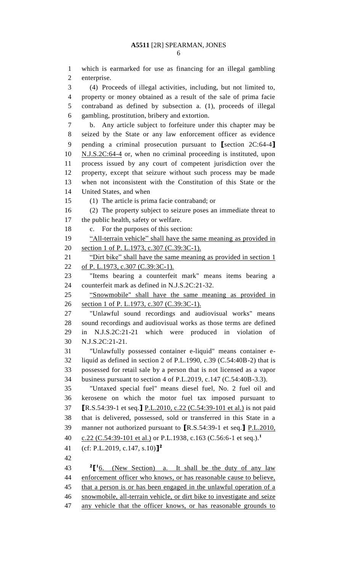which is earmarked for use as financing for an illegal gambling enterprise. (4) Proceeds of illegal activities, including, but not limited to, property or money obtained as a result of the sale of prima facie contraband as defined by subsection a. (1), proceeds of illegal gambling, prostitution, bribery and extortion. b. Any article subject to forfeiture under this chapter may be seized by the State or any law enforcement officer as evidence pending a criminal prosecution pursuant to **[**section 2C:64-4**]** N.J.S.2C:64-4 or, when no criminal proceeding is instituted, upon process issued by any court of competent jurisdiction over the property, except that seizure without such process may be made when not inconsistent with the Constitution of this State or the United States, and when (1) The article is prima facie contraband; or (2) The property subject to seizure poses an immediate threat to the public health, safety or welfare. c. For the purposes of this section: 19 "All-terrain vehicle" shall have the same meaning as provided in 20 section 1 of P. L.1973, c.307 (C.39:3C-1). 21 "Dirt bike" shall have the same meaning as provided in section 1 22 of P. L.1973, c.307 (C.39:3C-1). "Items bearing a counterfeit mark" means items bearing a counterfeit mark as defined in N.J.S.2C:21-32. "Snowmobile" shall have the same meaning as provided in section 1 of P. L.1973, c.307 (C.39:3C-1). "Unlawful sound recordings and audiovisual works" means sound recordings and audiovisual works as those terms are defined in N.J.S.2C:21-21 which were produced in violation of N.J.S.2C:21-21. "Unlawfully possessed container e-liquid" means container e- liquid as defined in section 2 of P.L.1990, c.39 (C.54:40B-2) that is possessed for retail sale by a person that is not licensed as a vapor business pursuant to section 4 of P.L.2019, c.147 (C.54:40B-3.3). "Untaxed special fuel" means diesel fuel, No. 2 fuel oil and kerosene on which the motor fuel tax imposed pursuant to **[**R.S.54:39-1 et seq.**]** P.L.2010, c.22 (C.54:39-101 et al.) is not paid that is delivered, possessed, sold or transferred in this State in a manner not authorized pursuant to **[**R.S.54:39-1 et seq.**]** P.L.2010, c.22 (C.54:39-101 et al.) or P.L.1938, c.163 (C.56:6-1 et seq.).**<sup>1</sup>** (cf: P.L.2019, c.147, s.10)**] 2**  $\frac{2}{16}$ . (New Section) a. It shall be the duty of any law enforcement officer who knows, or has reasonable cause to believe, 45 that a person is or has been engaged in the unlawful operation of a snowmobile, all-terrain vehicle, or dirt bike to investigate and seize

any vehicle that the officer knows, or has reasonable grounds to